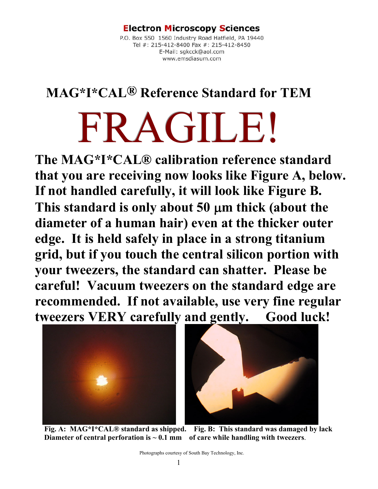#### **Electron Microscopy Sciences**

Tel #: 215-412-8400 Fa<br>Tel #: 215-412-8400 Fa<br>E-Mail: sgkcck<br>www.emsdia

## **MAG\*I\*CAL® Reference Standard for TEM**

# FRAGILE!

**The MAG\*I\*CAL® calibration reference standard that you are receiving now looks like Figure A, below. If not handled carefully, it will look like Figure B. This standard is only about 50** μ**m thick (about the diameter of a human hair) even at the thicker outer edge. It is held safely in place in a strong titanium grid, but if you touch the central silicon portion with your tweezers, the standard can shatter. Please be careful! Vacuum tweezers on the standard edge are recommended. If not available, use very fine regular tweezers VERY carefully and gently. Good luck!** 





 **Fig. A: MAG\*I\*CAL® standard as shipped. Fig. B: This standard was damaged by lack Diameter of central perforation is**  $\sim 0.1$  **mm of care while handling with tweezers.**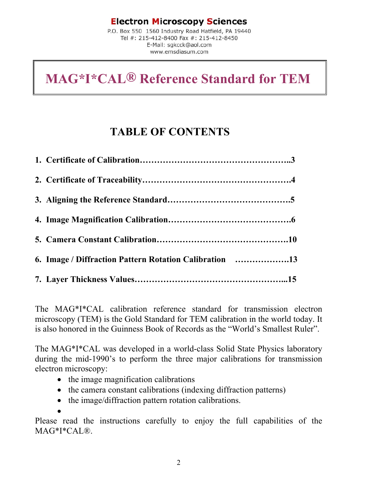### **TABLE OF CONTENTS**

| 6. Image / Diffraction Pattern Rotation Calibration 13 |
|--------------------------------------------------------|
|                                                        |

The MAG\*I\*CAL calibration reference standard for transmission electron microscopy (TEM) is the Gold Standard for TEM calibration in the world today. It is also honored in the Guinness Book of Records as the "World's Smallest Ruler".

The MAG\*I\*CAL was developed in a world-class Solid State Physics laboratory during the mid-1990's to perform the three major calibrations for transmission electron microscopy:

- the image magnification calibrations
- the camera constant calibrations (indexing diffraction patterns)
- the image/diffraction pattern rotation calibrations.

•

Please read the instructions carefully to enjoy the full capabilities of the MAG\*I\*CAL®.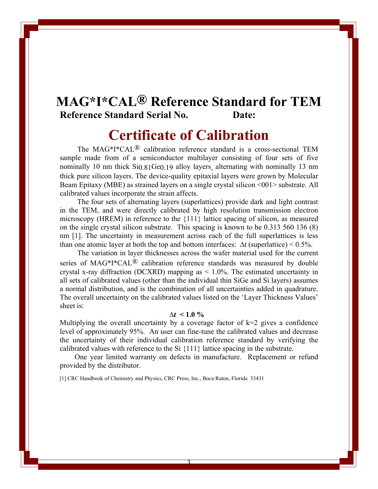## **MAG\*I\*CAL® Reference Standard for TEM Reference Standard Serial No. Date:**

## **Certificate of Calibration**

The MAG\*I\*CAL® calibration reference standard is a cross-sectional TEM sample made from of a semiconductor multilayer consisting of four sets of five nominally 10 nm thick Si<sub>0.81</sub>Ge<sub>0.19</sub> alloy layers, alternating with nominally 13 nm thick pure silicon layers. The device-quality epitaxial layers were grown by Molecular Beam Epitaxy (MBE) as strained layers on a single crystal silicon <001> substrate. All calibrated values incorporate the strain affects.

The four sets of alternating layers (superlattices) provide dark and light contrast in the TEM, and were directly calibrated by high resolution transmission electron microscopy (HREM) in reference to the {111} lattice spacing of silicon, as measured on the single crystal silicon substrate. This spacing is known to be 0.313 560 136 (8) nm [1]. The uncertainty in measurement across each of the full superlattices is less than one atomic layer at both the top and bottom interfaces: ∆*t* (superlattice) < 0.5%.

The variation in layer thicknesses across the wafer material used for the current series of MAG\*I\*CAL<sup>®</sup> calibration reference standards was measured by double crystal x-ray diffraction (DCXRD) mapping as < 1.0%. The estimated uncertainty in all sets of calibrated values (other than the individual thin SiGe and Si layers) assumes a normal distribution, and is the combination of all uncertainties added in quadrature. The overall uncertainty on the calibrated values listed on the 'Layer Thickness Values' sheet is:

#### $\Delta t \leq 1.0 \%$

Multiplying the overall uncertainty by a coverage factor of  $k=2$  gives a confidence level of approximately 95%. An user can fine-tune the calibrated values and decrease the uncertainty of their individual calibration reference standard by verifying the calibrated values with reference to the Si {111} lattice spacing in the substrate.

 One year limited warranty on defects in manufacture. Replacement or refund provided by the distributor.

3

[1] CRC Handbook of Chemistry and Physics, CRC Press, Inc., Boca Raton, Florida 33431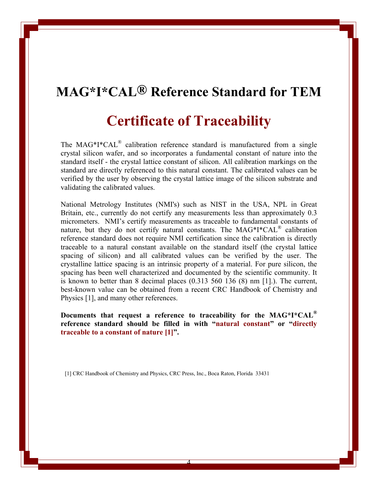## **Certificate of Traceability**

The MAG\*I\*CAL<sup>®</sup> calibration reference standard is manufactured from a single crystal silicon wafer, and so incorporates a fundamental constant of nature into the standard itself - the crystal lattice constant of silicon. All calibration markings on the standard are directly referenced to this natural constant. The calibrated values can be verified by the user by observing the crystal lattice image of the silicon substrate and validating the calibrated values.

National Metrology Institutes (NMI's) such as NIST in the USA, NPL in Great Britain, etc., currently do not certify any measurements less than approximately 0.3 micrometers. NMI's certify measurements as traceable to fundamental constants of nature, but they do not certify natural constants. The MAG\*I\*CAL® calibration reference standard does not require NMI certification since the calibration is directly traceable to a natural constant available on the standard itself (the crystal lattice spacing of silicon) and all calibrated values can be verified by the user. The crystalline lattice spacing is an intrinsic property of a material. For pure silicon, the spacing has been well characterized and documented by the scientific community. It is known to better than 8 decimal places (0.313 560 136 (8) nm [1].). The current, best-known value can be obtained from a recent CRC Handbook of Chemistry and Physics [1], and many other references.

**Documents that request a reference to traceability for the MAG\*I\*CAL® reference standard should be filled in with "natural constant" or "directly traceable to a constant of nature [1]".**

4

[1] CRC Handbook of Chemistry and Physics, CRC Press, Inc., Boca Raton, Florida 33431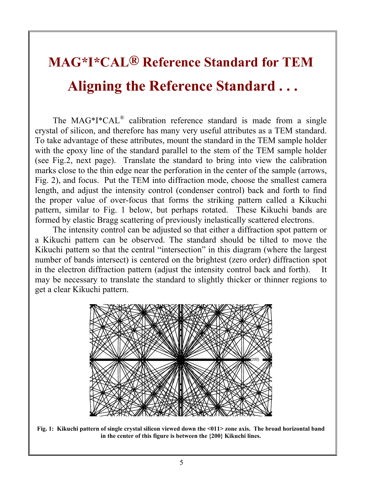# **MAG\*I\*CAL® Reference Standard for TEM Aligning the Reference Standard . . .**

 The MAG\*I\*CAL® calibration reference standard is made from a single crystal of silicon, and therefore has many very useful attributes as a TEM standard. To take advantage of these attributes, mount the standard in the TEM sample holder with the epoxy line of the standard parallel to the stem of the TEM sample holder (see Fig.2, next page). Translate the standard to bring into view the calibration marks close to the thin edge near the perforation in the center of the sample (arrows, Fig. 2), and focus. Put the TEM into diffraction mode, choose the smallest camera length, and adjust the intensity control (condenser control) back and forth to find the proper value of over-focus that forms the striking pattern called a Kikuchi pattern, similar to Fig. 1 below, but perhaps rotated. These Kikuchi bands are formed by elastic Bragg scattering of previously inelastically scattered electrons.

The intensity control can be adjusted so that either a diffraction spot pattern or a Kikuchi pattern can be observed. The standard should be tilted to move the Kikuchi pattern so that the central "intersection" in this diagram (where the largest number of bands intersect) is centered on the brightest (zero order) diffraction spot in the electron diffraction pattern (adjust the intensity control back and forth). It may be necessary to translate the standard to slightly thicker or thinner regions to get a clear Kikuchi pattern.



**Fig. 1: Kikuchi pattern of single crystal silicon viewed down the <011> zone axis. The broad horizontal band in the center of this figure is between the {200} Kikuchi lines.**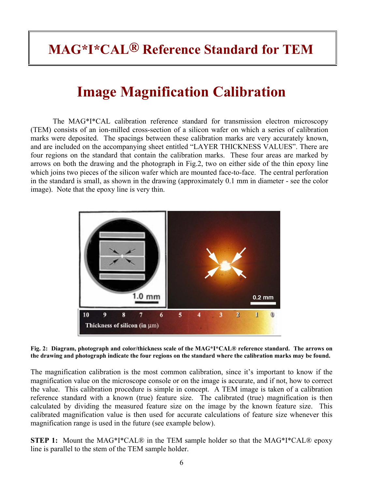# **Image Magnification Calibration**

The MAG\*I\*CAL calibration reference standard for transmission electron microscopy (TEM) consists of an ion-milled cross-section of a silicon wafer on which a series of calibration marks were deposited. The spacings between these calibration marks are very accurately known, and are included on the accompanying sheet entitled "LAYER THICKNESS VALUES". There are four regions on the standard that contain the calibration marks. These four areas are marked by arrows on both the drawing and the photograph in Fig.2, two on either side of the thin epoxy line which joins two pieces of the silicon wafer which are mounted face-to-face. The central perforation in the standard is small, as shown in the drawing (approximately 0.1 mm in diameter - see the color image). Note that the epoxy line is very thin.



**Fig. 2: Diagram, photograph and color/thickness scale of the MAG\*I\*CAL® reference standard. The arrows on the drawing and photograph indicate the four regions on the standard where the calibration marks may be found.** 

The magnification calibration is the most common calibration, since it's important to know if the magnification value on the microscope console or on the image is accurate, and if not, how to correct the value. This calibration procedure is simple in concept. A TEM image is taken of a calibration reference standard with a known (true) feature size. The calibrated (true) magnification is then calculated by dividing the measured feature size on the image by the known feature size. This calibrated magnification value is then used for accurate calculations of feature size whenever this magnification range is used in the future (see example below).

**STEP 1:** Mount the MAG\*I\*CAL® in the TEM sample holder so that the MAG\*I\*CAL® epoxy line is parallel to the stem of the TEM sample holder.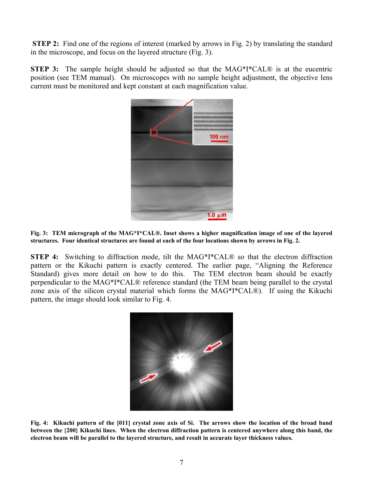**STEP 2:** Find one of the regions of interest (marked by arrows in Fig. 2) by translating the standard in the microscope, and focus on the layered structure (Fig. 3).

**STEP 3:** The sample height should be adjusted so that the MAG<sup>\*I\*</sup>CAL<sup>®</sup> is at the eucentric position (see TEM manual). On microscopes with no sample height adjustment, the objective lens current must be monitored and kept constant at each magnification value.



**Fig. 3: TEM micrograph of the MAG\*I\*CAL®. Inset shows a higher magnification image of one of the layered structures. Four identical structures are found at each of the four locations shown by arrows in Fig. 2.**

**STEP 4:** Switching to diffraction mode, tilt the MAG\*I\*CAL® so that the electron diffraction pattern or the Kikuchi pattern is exactly centered. The earlier page, "Aligning the Reference Standard) gives more detail on how to do this. The TEM electron beam should be exactly perpendicular to the MAG\*I\*CAL® reference standard (the TEM beam being parallel to the crystal zone axis of the silicon crystal material which forms the MAG\*I\*CAL®). If using the Kikuchi pattern, the image should look similar to Fig. 4.



**Fig. 4: Kikuchi pattern of the [011] crystal zone axis of Si. The arrows show the location of the broad band between the {200} Kikuchi lines. When the electron diffraction pattern is centered anywhere along this band, the electron beam will be parallel to the layered structure, and result in accurate layer thickness values.**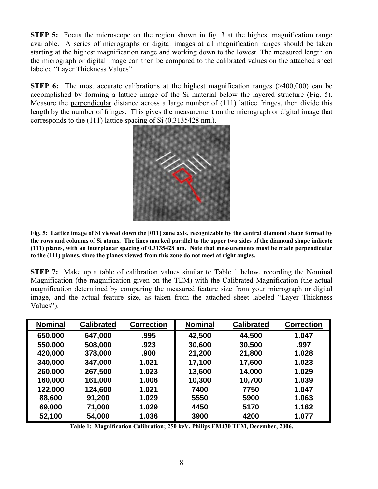**STEP 5:** Focus the microscope on the region shown in fig. 3 at the highest magnification range available. A series of micrographs or digital images at all magnification ranges should be taken starting at the highest magnification range and working down to the lowest. The measured length on the micrograph or digital image can then be compared to the calibrated values on the attached sheet labeled "Layer Thickness Values".

**STEP 6:** The most accurate calibrations at the highest magnification ranges (>400,000) can be accomplished by forming a lattice image of the Si material below the layered structure (Fig. 5). Measure the perpendicular distance across a large number of (111) lattice fringes, then divide this length by the number of fringes. This gives the measurement on the micrograph or digital image that corresponds to the (111) lattice spacing of Si (0.3135428 nm.).



**Fig. 5: Lattice image of Si viewed down the [011] zone axis, recognizable by the central diamond shape formed by the rows and columns of Si atoms. The lines marked parallel to the upper two sides of the diamond shape indicate (111) planes, with an interplanar spacing of 0.3135428 nm. Note that measurements must be made perpendicular to the (111) planes, since the planes viewed from this zone do not meet at right angles.**

**STEP 7:** Make up a table of calibration values similar to Table 1 below, recording the Nominal Magnification (the magnification given on the TEM) with the Calibrated Magnification (the actual magnification determined by comparing the measured feature size from your micrograph or digital image, and the actual feature size, as taken from the attached sheet labeled "Layer Thickness Values").

| <b>Nominal</b> | <b>Calibrated</b> | <b>Correction</b> | <b>Nominal</b> | <b>Calibrated</b> | <b>Correction</b> |
|----------------|-------------------|-------------------|----------------|-------------------|-------------------|
| 650,000        | 647,000           | .995              | 42,500         | 44,500            | 1.047             |
| 550,000        | 508,000           | .923              | 30,600         | 30,500            | .997              |
| 420,000        | 378,000           | .900              | 21,200         | 21,800            | 1.028             |
| 340,000        | 347,000           | 1.021             | 17,100         | 17,500            | 1.023             |
| 260,000        | 267,500           | 1.023             | 13,600         | 14,000            | 1.029             |
| 160,000        | 161,000           | 1.006             | 10,300         | 10,700            | 1.039             |
| 122,000        | 124,600           | 1.021             | 7400           | 7750              | 1.047             |
| 88,600         | 91,200            | 1.029             | 5550           | 5900              | 1.063             |
| 69,000         | 71,000            | 1.029             | 4450           | 5170              | 1.162             |
| 52,100         | 54,000            | 1.036             | 3900           | 4200              | 1.077             |

**Table 1: Magnification Calibration; 250 keV, Philips EM430 TEM, December, 2006.**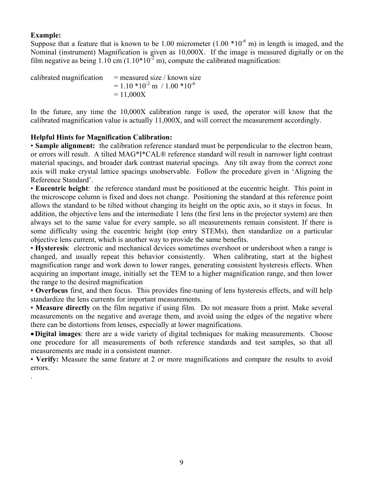#### **Example:**

.

Suppose that a feature that is known to be 1.00 micrometer  $(1.00 * 10^{-6} \text{ m})$  in length is imaged, and the Nominal (instrument) Magnification is given as 10,000X. If the image is measured digitally or on the film negative as being  $1.10 \text{ cm} (1.10 \times 10^{-2} \text{ m})$ , compute the calibrated magnification:

| calibrated magnification | $=$ measured size / known size          |
|--------------------------|-----------------------------------------|
|                          | $= 1.10 * 10^{-2}$ m $/ 1.00 * 10^{-6}$ |
|                          | $= 11,000X$                             |

In the future, any time the 10,000X calibration range is used, the operator will know that the calibrated magnification value is actually 11,000X, and will correct the measurement accordingly.

#### **Helpful Hints for Magnification Calibration:**

• **Sample alignment:** the calibration reference standard must be perpendicular to the electron beam, or errors will result. A tilted MAG\*I\*CAL® reference standard will result in narrower light contrast material spacings, and broader dark contrast material spacings. Any tilt away from the correct zone axis will make crystal lattice spacings unobservable. Follow the procedure given in 'Aligning the Reference Standard'.

• **Eucentric height**: the reference standard must be positioned at the eucentric height. This point in the microscope column is fixed and does not change. Positioning the standard at this reference point allows the standard to be tilted without changing its height on the optic axis, so it stays in focus. In addition, the objective lens and the intermediate 1 lens (the first lens in the projector system) are then always set to the same value for every sample, so all measurements remain consistent. If there is some difficulty using the eucentric height (top entry STEMs), then standardize on a particular objective lens current, which is another way to provide the same benefits.

• **Hysteresis**: electronic and mechanical devices sometimes overshoot or undershoot when a range is changed, and usually repeat this behavior consistently. When calibrating, start at the highest magnification range and work down to lower ranges, generating consistent hysteresis effects. When acquiring an important image, initially set the TEM to a higher magnification range, and then lower the range to the desired magnification

• **Overfocus** first, and then focus. This provides fine-tuning of lens hysteresis effects, and will help standardize the lens currents for important measurements.

• **Measure directly** on the film negative if using film. Do not measure from a print. Make several measurements on the negative and average them, and avoid using the edges of the negative where there can be distortions from lenses, especially at lower magnifications.

•**Digital images**: there are a wide variety of digital techniques for making measurements. Choose one procedure for all measurements of both reference standards and test samples, so that all measurements are made in a consistent manner.

• **Verify:** Measure the same feature at 2 or more magnifications and compare the results to avoid errors.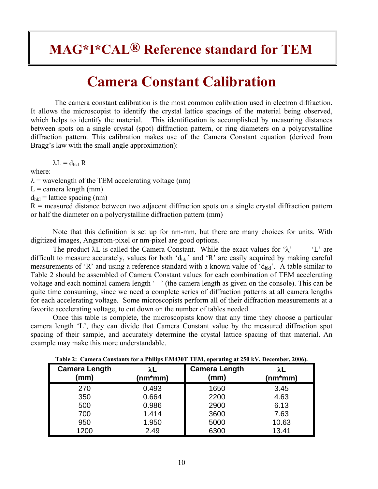# **Camera Constant Calibration**

The camera constant calibration is the most common calibration used in electron diffraction. It allows the microscopist to identify the crystal lattice spacings of the material being observed, which helps to identify the material. This identification is accomplished by measuring distances between spots on a single crystal (spot) diffraction pattern, or ring diameters on a polycrystalline diffraction pattern. This calibration makes use of the Camera Constant equation (derived from Bragg's law with the small angle approximation):

 $λL = d<sub>hkl</sub> R$ 

where:

 $\lambda$  = wavelength of the TEM accelerating voltage (nm)

 $L =$  camera length (mm)

 $d_{hkl}$  = lattice spacing (nm)

 $R$  = measured distance between two adjacent diffraction spots on a single crystal diffraction pattern or half the diameter on a polycrystalline diffraction pattern (mm)

Note that this definition is set up for nm-mm, but there are many choices for units. With digitized images, Angstrom-pixel or nm-pixel are good options.

The product  $\lambda$ L is called the Camera Constant. While the exact values for ' $\lambda$ ' 'L' are difficult to measure accurately, values for both ' $d_{hk}$ ' and 'R' are easily acquired by making careful measurements of 'R' and using a reference standard with a known value of ' $d_{hk}$ '. A table similar to Table 2 should be assembled of Camera Constant values for each combination of TEM accelerating voltage and each nominal camera length '' (the camera length as given on the console). This can be quite time consuming, since we need a complete series of diffraction patterns at all camera lengths for each accelerating voltage. Some microscopists perform all of their diffraction measurements at a favorite accelerating voltage, to cut down on the number of tables needed.

Once this table is complete, the microscopists know that any time they choose a particular camera length 'L', they can divide that Camera Constant value by the measured diffraction spot spacing of their sample, and accurately determine the crystal lattice spacing of that material. An example may make this more understandable.

| <b>Camera Length</b><br>(mm) | λL<br>(nm*mm) | <b>Camera Length</b><br>(mm) | λL<br>(nm*mm) |
|------------------------------|---------------|------------------------------|---------------|
| 270                          | 0.493         | 1650                         | 3.45          |
| 350                          | 0.664         | 2200                         | 4.63          |
| 500                          | 0.986         | 2900                         | 6.13          |
| 700                          | 1.414         | 3600                         | 7.63          |
| 950                          | 1.950         | 5000                         | 10.63         |
| 1200                         | 2.49          | 6300                         | 13.41         |

**Table 2: Camera Constants for a Philips EM430T TEM, operating at 250 kV, December, 2006).**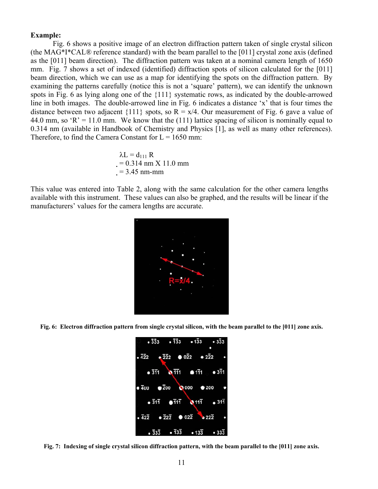#### **Example:**

Fig. 6 shows a positive image of an electron diffraction pattern taken of single crystal silicon (the MAG\*I\*CAL® reference standard) with the beam parallel to the [011] crystal zone axis (defined as the [011] beam direction). The diffraction pattern was taken at a nominal camera length of 1650 mm. Fig. 7 shows a set of indexed (identified) diffraction spots of silicon calculated for the [011] beam direction, which we can use as a map for identifying the spots on the diffraction pattern. By examining the patterns carefully (notice this is not a 'square' pattern), we can identify the unknown spots in Fig. 6 as lying along one of the {111} systematic rows, as indicated by the double-arrowed line in both images. The double-arrowed line in Fig. 6 indicates a distance 'x' that is four times the distance between two adjacent {111} spots, so  $R = x/4$ . Our measurement of Fig. 6 gave a value of 44.0 mm, so 'R' = 11.0 mm. We know that the (111) lattice spacing of silicon is nominally equal to 0.314 nm (available in Handbook of Chemistry and Physics [1], as well as many other references). Therefore, to find the Camera Constant for  $L = 1650$  mm:

$$
\lambda L = d_{111} R
$$
  
= 0.314 nm X 11.0 mm  
= 3.45 nm-mm

This value was entered into Table 2, along with the same calculation for the other camera lengths available with this instrument. These values can also be graphed, and the results will be linear if the manufacturers' values for the camera lengths are accurate.



**Fig. 6: Electron diffraction pattern from single crystal silicon, with the beam parallel to the [011] zone axis.** 



**Fig. 7: Indexing of single crystal silicon diffraction pattern, with the beam parallel to the [011] zone axis.**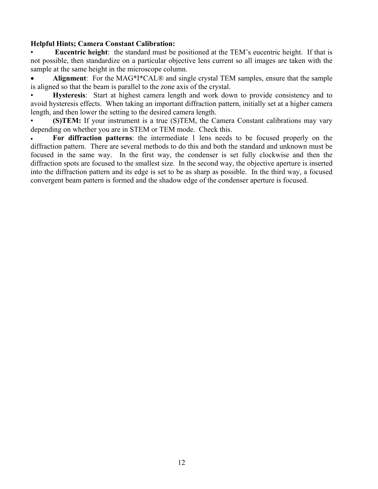#### **Helpful Hints; Camera Constant Calibration:**

**Eucentric height**: the standard must be positioned at the TEM's eucentric height. If that is not possible, then standardize on a particular objective lens current so all images are taken with the sample at the same height in the microscope column.

• **Alignment**: For the MAG\*I\*CAL® and single crystal TEM samples, ensure that the sample is aligned so that the beam is parallel to the zone axis of the crystal.

• **Hysteresis**: Start at highest camera length and work down to provide consistency and to avoid hysteresis effects. When taking an important diffraction pattern, initially set at a higher camera length, and then lower the setting to the desired camera length.

**(S)TEM:** If your instrument is a true (S)TEM, the Camera Constant calibrations may vary depending on whether you are in STEM or TEM mode. Check this.

• **For diffraction patterns**: the intermediate 1 lens needs to be focused properly on the diffraction pattern. There are several methods to do this and both the standard and unknown must be focused in the same way. In the first way, the condenser is set fully clockwise and then the diffraction spots are focused to the smallest size. In the second way, the objective aperture is inserted into the diffraction pattern and its edge is set to be as sharp as possible. In the third way, a focused convergent beam pattern is formed and the shadow edge of the condenser aperture is focused.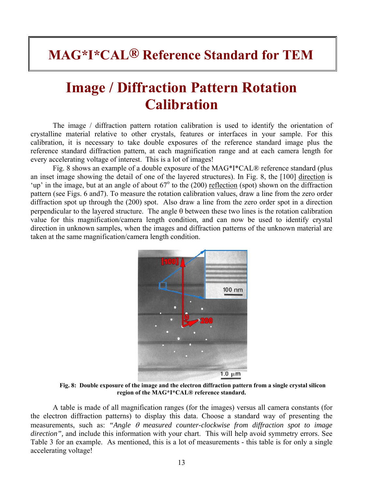# **Image / Diffraction Pattern Rotation Calibration**

The image / diffraction pattern rotation calibration is used to identify the orientation of crystalline material relative to other crystals, features or interfaces in your sample. For this calibration, it is necessary to take double exposures of the reference standard image plus the reference standard diffraction pattern, at each magnification range and at each camera length for every accelerating voltage of interest. This is a lot of images!

Fig. 8 shows an example of a double exposure of the MAG\*I\*CAL® reference standard (plus an inset image showing the detail of one of the layered structures). In Fig. 8, the [100] direction is 'up' in the image, but at an angle of about  $67^\circ$  to the (200) reflection (spot) shown on the diffraction pattern (see Figs. 6 and7). To measure the rotation calibration values, draw a line from the zero order diffraction spot up through the (200) spot. Also draw a line from the zero order spot in a direction perpendicular to the layered structure. The angle  $\theta$  between these two lines is the rotation calibration value for this magnification/camera length condition, and can now be used to identify crystal direction in unknown samples, when the images and diffraction patterns of the unknown material are taken at the same magnification/camera length condition.



**Fig. 8: Double exposure of the image and the electron diffraction pattern from a single crystal silicon region of the MAG\*I\*CAL® reference standard.** 

A table is made of all magnification ranges (for the images) versus all camera constants (for the electron diffraction patterns) to display this data. Choose a standard way of presenting the measurements, such as: *"Angle* θ *measured counter-clockwise from diffraction spot to image direction",* and include this information with your chart. This will help avoid symmetry errors. See Table 3 for an example. As mentioned, this is a lot of measurements - this table is for only a single accelerating voltage!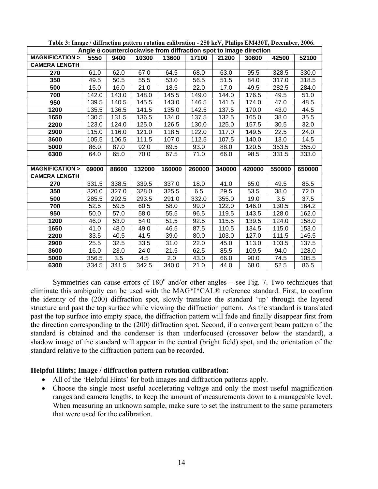| Angle $\theta$ counterclockwise from diffraction spot to image direction |       |       |        |        |        |        |        |        |        |
|--------------------------------------------------------------------------|-------|-------|--------|--------|--------|--------|--------|--------|--------|
| <b>MAGNIFICATION &gt;</b>                                                | 5550  | 9400  | 10300  | 13600  | 17100  | 21200  | 30600  | 42500  | 52100  |
| <b>CAMERA LENGTH</b>                                                     |       |       |        |        |        |        |        |        |        |
| 270                                                                      | 61.0  | 62.0  | 67.0   | 64.5   | 68.0   | 63.0   | 95.5   | 328.5  | 330.0  |
| 350                                                                      | 49.5  | 50.5  | 55.5   | 53.0   | 56.5   | 51.5   | 84.0   | 317.0  | 318.5  |
| 500                                                                      | 15.0  | 16.0  | 21.0   | 18.5   | 22.0   | 17.0   | 49.5   | 282.5  | 284.0  |
| 700                                                                      | 142.0 | 143.0 | 148.0  | 145.5  | 149.0  | 144.0  | 176.5  | 49.5   | 51.0   |
| 950                                                                      | 139.5 | 140.5 | 145.5  | 143.0  | 146.5  | 141.5  | 174.0  | 47.0   | 48.5   |
| 1200                                                                     | 135.5 | 136.5 | 141.5  | 135.0  | 142.5  | 137.5  | 170.0  | 43.0   | 44.5   |
| 1650                                                                     | 130.5 | 131.5 | 136.5  | 134.0  | 137.5  | 132.5  | 165.0  | 38.0   | 35.5   |
| 2200                                                                     | 123.0 | 124.0 | 125.0  | 126.5  | 130.0  | 125.0  | 157.5  | 30.5   | 32.0   |
| 2900                                                                     | 115.0 | 116.0 | 121.0  | 118.5  | 122.0  | 117.0  | 149.5  | 22.5   | 24.0   |
| 3600                                                                     | 105.5 | 106.5 | 111.5  | 107.0  | 112.5  | 107.5  | 140.0  | 13.0   | 14.5   |
| 5000                                                                     | 86.0  | 87.0  | 92.0   | 89.5   | 93.0   | 88.0   | 120.5  | 353.5  | 355.0  |
| 6300                                                                     | 64.0  | 65.0  | 70.0   | 67.5   | 71.0   | 66.0   | 98.5   | 331.5  | 333.0  |
|                                                                          |       |       |        |        |        |        |        |        |        |
|                                                                          |       |       |        |        |        |        |        |        |        |
| <b>MAGNIFICATION &gt;</b>                                                | 69000 | 88600 | 132000 | 160000 | 260000 | 340000 | 420000 | 550000 | 650000 |
| <b>CAMERA LENGTH</b>                                                     |       |       |        |        |        |        |        |        |        |
| 270                                                                      | 331.5 | 338.5 | 339.5  | 337.0  | 18.0   | 41.0   | 65.0   | 49.5   | 85.5   |
| 350                                                                      | 320.0 | 327.0 | 328.0  | 325.5  | 6.5    | 29.5   | 53.5   | 38.0   | 72.0   |
| 500                                                                      | 285.5 | 292.5 | 293.5  | 291.0  | 332.0  | 355.0  | 19.0   | 3.5    | 37.5   |
| 700                                                                      | 52.5  | 59.5  | 60.5   | 58.0   | 99.0   | 122.0  | 146.0  | 130.5  | 164.2  |
| 950                                                                      | 50.0  | 57.0  | 58.0   | 55.5   | 96.5   | 119.5  | 143.5  | 128.0  | 162.0  |
| 1200                                                                     | 46.0  | 53.0  | 54.0   | 51.5   | 92.5   | 115.5  | 139.5  | 124.0  | 158.0  |
| 1650                                                                     | 41.0  | 48.0  | 49.0   | 46.5   | 87.5   | 110.5  | 134.5  | 115.0  | 153.0  |
| 2200                                                                     | 33.5  | 40.5  | 41.5   | 39.0   | 80.0   | 103.0  | 127.0  | 111.5  | 145.5  |
| 2900                                                                     | 25.5  | 32.5  | 33.5   | 31.0   | 22.0   | 45.0   | 113.0  | 103.5  | 137.5  |
| 3600                                                                     | 16.0  | 23.0  | 24.0   | 21.5   | 62.5   | 85.5   | 109.5  | 94.0   | 128.0  |
| 5000                                                                     | 356.5 | 3.5   | 4.5    | 2.0    | 43.0   | 66.0   | 90.0   | 74.5   | 105.5  |

**Table 3: Image / diffraction pattern rotation calibration - 250 keV, Philips EM430T, December, 2006.** 

Symmetries can cause errors of  $180^\circ$  and/or other angles – see Fig. 7. Two techniques that eliminate this ambiguity can be used with the MAG\*I\*CAL® reference standard. First, to confirm the identity of the (200) diffraction spot, slowly translate the standard 'up' through the layered structure and past the top surface while viewing the diffraction pattern. As the standard is translated past the top surface into empty space, the diffraction pattern will fade and finally disappear first from the direction corresponding to the (200) diffraction spot. Second, if a convergent beam pattern of the standard is obtained and the condenser is then underfocused (crossover below the standard), a shadow image of the standard will appear in the central (bright field) spot, and the orientation of the standard relative to the diffraction pattern can be recorded.

#### **Helpful Hints; Image / diffraction pattern rotation calibration:**

- All of the 'Helpful Hints' for both images and diffraction patterns apply.
- Choose the single most useful accelerating voltage and only the most useful magnification ranges and camera lengths, to keep the amount of measurements down to a manageable level. When measuring an unknown sample, make sure to set the instrument to the same parameters that were used for the calibration.